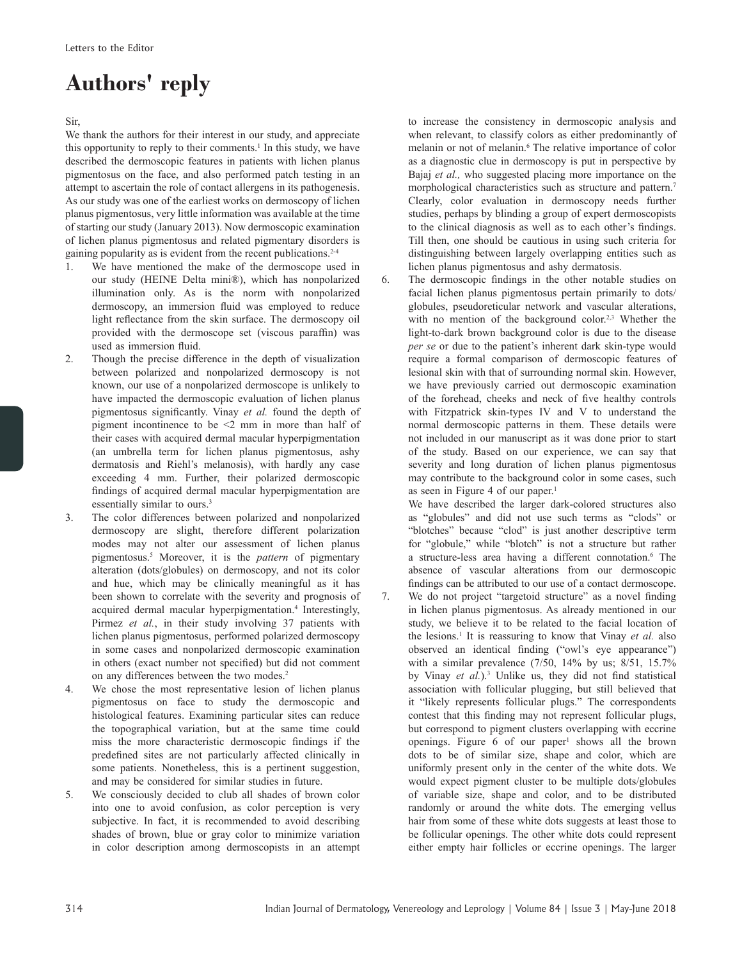## **Authors' reply**

Sir,

We thank the authors for their interest in our study, and appreciate this opportunity to reply to their comments.<sup>1</sup> In this study, we have described the dermoscopic features in patients with lichen planus pigmentosus on the face, and also performed patch testing in an attempt to ascertain the role of contact allergens in its pathogenesis. As our study was one of the earliest works on dermoscopy of lichen planus pigmentosus, very little information was available at the time of starting our study (January 2013). Now dermoscopic examination of lichen planus pigmentosus and related pigmentary disorders is gaining popularity as is evident from the recent publications. $2<sup>4</sup>$ 

- 1. We have mentioned the make of the dermoscope used in our study (HEINE Delta mini®), which has nonpolarized illumination only. As is the norm with nonpolarized dermoscopy, an immersion fluid was employed to reduce light reflectance from the skin surface. The dermoscopy oil provided with the dermoscope set (viscous paraffin) was used as immersion fluid.
- 2. Though the precise difference in the depth of visualization between polarized and nonpolarized dermoscopy is not known, our use of a nonpolarized dermoscope is unlikely to have impacted the dermoscopic evaluation of lichen planus pigmentosus significantly. Vinay *et al.* found the depth of pigment incontinence to be <2 mm in more than half of their cases with acquired dermal macular hyperpigmentation (an umbrella term for lichen planus pigmentosus, ashy dermatosis and Riehl's melanosis), with hardly any case exceeding 4 mm. Further, their polarized dermoscopic findings of acquired dermal macular hyperpigmentation are essentially similar to ours.<sup>3</sup>
- 3. The color differences between polarized and nonpolarized dermoscopy are slight, therefore different polarization modes may not alter our assessment of lichen planus pigmentosus.5 Moreover, it is the *pattern* of pigmentary alteration (dots/globules) on dermoscopy, and not its color and hue, which may be clinically meaningful as it has been shown to correlate with the severity and prognosis of acquired dermal macular hyperpigmentation.<sup>4</sup> Interestingly, Pirmez *et al.*, in their study involving 37 patients with lichen planus pigmentosus, performed polarized dermoscopy in some cases and nonpolarized dermoscopic examination in others (exact number not specified) but did not comment on any differences between the two modes.2
- 4. We chose the most representative lesion of lichen planus pigmentosus on face to study the dermoscopic and histological features. Examining particular sites can reduce the topographical variation, but at the same time could miss the more characteristic dermoscopic findings if the predefined sites are not particularly affected clinically in some patients. Nonetheless, this is a pertinent suggestion, and may be considered for similar studies in future.
- 5. We consciously decided to club all shades of brown color into one to avoid confusion, as color perception is very subjective. In fact, it is recommended to avoid describing shades of brown, blue or gray color to minimize variation in color description among dermoscopists in an attempt

to increase the consistency in dermoscopic analysis and when relevant, to classify colors as either predominantly of melanin or not of melanin.<sup>6</sup> The relative importance of color as a diagnostic clue in dermoscopy is put in perspective by Bajaj *et al.,* who suggested placing more importance on the morphological characteristics such as structure and pattern.7 Clearly, color evaluation in dermoscopy needs further studies, perhaps by blinding a group of expert dermoscopists to the clinical diagnosis as well as to each other's findings. Till then, one should be cautious in using such criteria for distinguishing between largely overlapping entities such as lichen planus pigmentosus and ashy dermatosis.

6. The dermoscopic findings in the other notable studies on facial lichen planus pigmentosus pertain primarily to dots/ globules, pseudoreticular network and vascular alterations, with no mention of the background color.<sup>2,3</sup> Whether the light-to-dark brown background color is due to the disease *per se* or due to the patient's inherent dark skin-type would require a formal comparison of dermoscopic features of lesional skin with that of surrounding normal skin. However, we have previously carried out dermoscopic examination of the forehead, cheeks and neck of five healthy controls with Fitzpatrick skin-types IV and V to understand the normal dermoscopic patterns in them. These details were not included in our manuscript as it was done prior to start of the study. Based on our experience, we can say that severity and long duration of lichen planus pigmentosus may contribute to the background color in some cases, such as seen in Figure 4 of our paper.<sup>1</sup>

We have described the larger dark-colored structures also as "globules" and did not use such terms as "clods" or "blotches" because "clod" is just another descriptive term for "globule," while "blotch" is not a structure but rather a structure-less area having a different connotation.<sup>6</sup> The absence of vascular alterations from our dermoscopic findings can be attributed to our use of a contact dermoscope.

7. We do not project "targetoid structure" as a novel finding in lichen planus pigmentosus. As already mentioned in our study, we believe it to be related to the facial location of the lesions.<sup>1</sup> It is reassuring to know that Vinay *et al.* also observed an identical finding ("owl's eye appearance") with a similar prevalence  $(7/50, 14\%$  by us;  $8/51, 15.7\%$ by Vinay *et al.*).<sup>3</sup> Unlike us, they did not find statistical association with follicular plugging, but still believed that it "likely represents follicular plugs." The correspondents contest that this finding may not represent follicular plugs, but correspond to pigment clusters overlapping with eccrine openings. Figure  $6$  of our paper<sup>1</sup> shows all the brown dots to be of similar size, shape and color, which are uniformly present only in the center of the white dots. We would expect pigment cluster to be multiple dots/globules of variable size, shape and color, and to be distributed randomly or around the white dots. The emerging vellus hair from some of these white dots suggests at least those to be follicular openings. The other white dots could represent either empty hair follicles or eccrine openings. The larger